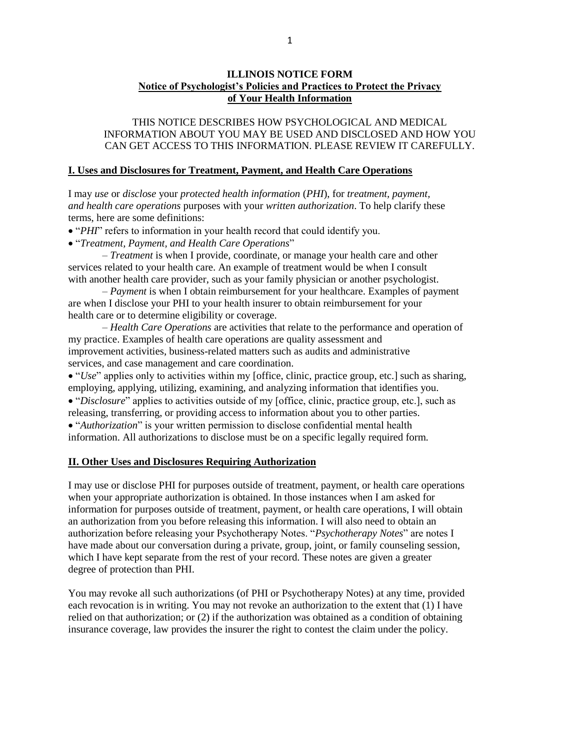# **ILLINOIS NOTICE FORM Notice of Psychologist's Policies and Practices to Protect the Privacy of Your Health Information**

THIS NOTICE DESCRIBES HOW PSYCHOLOGICAL AND MEDICAL INFORMATION ABOUT YOU MAY BE USED AND DISCLOSED AND HOW YOU CAN GET ACCESS TO THIS INFORMATION. PLEASE REVIEW IT CAREFULLY.

#### **I. Uses and Disclosures for Treatment, Payment, and Health Care Operations**

I may *use* or *disclose* your *protected health information* (*PHI*), for *treatment, payment, and health care operations* purposes with your *written authorization*. To help clarify these terms, here are some definitions:

- "*PHI*" refers to information in your health record that could identify you.
- "*Treatment, Payment, and Health Care Operations*"

– *Treatment* is when I provide, coordinate, or manage your health care and other services related to your health care. An example of treatment would be when I consult with another health care provider, such as your family physician or another psychologist.

– *Payment* is when I obtain reimbursement for your healthcare. Examples of payment are when I disclose your PHI to your health insurer to obtain reimbursement for your health care or to determine eligibility or coverage.

– *Health Care Operations* are activities that relate to the performance and operation of my practice. Examples of health care operations are quality assessment and improvement activities, business-related matters such as audits and administrative services, and case management and care coordination.

"*Use*" applies only to activities within my [office, clinic, practice group, etc.] such as sharing, employing, applying, utilizing, examining, and analyzing information that identifies you.

"*Disclosure*" applies to activities outside of my [office, clinic, practice group, etc.], such as releasing, transferring, or providing access to information about you to other parties.

"*Authorization*" is your written permission to disclose confidential mental health

information. All authorizations to disclose must be on a specific legally required form.

### **II. Other Uses and Disclosures Requiring Authorization**

I may use or disclose PHI for purposes outside of treatment, payment, or health care operations when your appropriate authorization is obtained. In those instances when I am asked for information for purposes outside of treatment, payment, or health care operations, I will obtain an authorization from you before releasing this information. I will also need to obtain an authorization before releasing your Psychotherapy Notes. "*Psychotherapy Notes*" are notes I have made about our conversation during a private, group, joint, or family counseling session, which I have kept separate from the rest of your record. These notes are given a greater degree of protection than PHI.

You may revoke all such authorizations (of PHI or Psychotherapy Notes) at any time, provided each revocation is in writing. You may not revoke an authorization to the extent that (1) I have relied on that authorization; or (2) if the authorization was obtained as a condition of obtaining insurance coverage, law provides the insurer the right to contest the claim under the policy.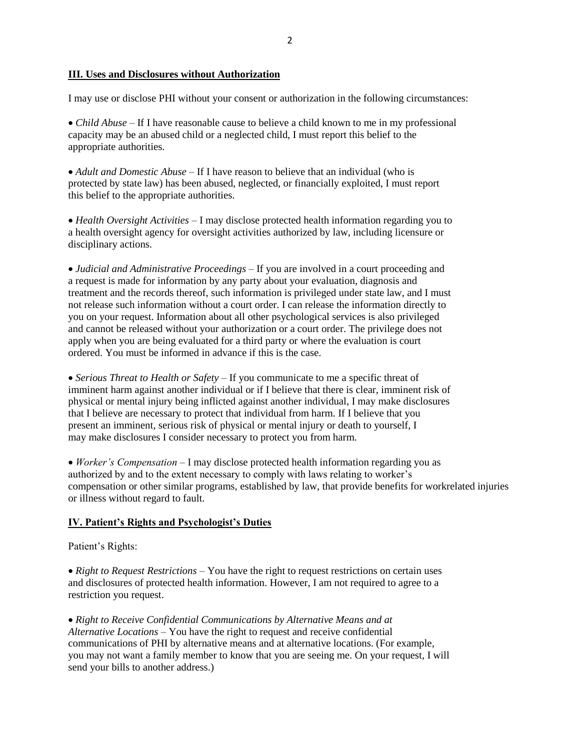### **III. Uses and Disclosures without Authorization**

I may use or disclose PHI without your consent or authorization in the following circumstances:

*Child Abuse* – If I have reasonable cause to believe a child known to me in my professional capacity may be an abused child or a neglected child, I must report this belief to the appropriate authorities.

*Adult and Domestic Abuse* – If I have reason to believe that an individual (who is protected by state law) has been abused, neglected, or financially exploited, I must report this belief to the appropriate authorities.

*Health Oversight Activities* – I may disclose protected health information regarding you to a health oversight agency for oversight activities authorized by law, including licensure or disciplinary actions.

*Judicial and Administrative Proceedings* – If you are involved in a court proceeding and a request is made for information by any party about your evaluation, diagnosis and treatment and the records thereof, such information is privileged under state law, and I must not release such information without a court order. I can release the information directly to you on your request. Information about all other psychological services is also privileged and cannot be released without your authorization or a court order. The privilege does not apply when you are being evaluated for a third party or where the evaluation is court ordered. You must be informed in advance if this is the case.

*Serious Threat to Health or Safety* – If you communicate to me a specific threat of imminent harm against another individual or if I believe that there is clear, imminent risk of physical or mental injury being inflicted against another individual, I may make disclosures that I believe are necessary to protect that individual from harm. If I believe that you present an imminent, serious risk of physical or mental injury or death to yourself, I may make disclosures I consider necessary to protect you from harm.

*Worker's Compensation* – I may disclose protected health information regarding you as authorized by and to the extent necessary to comply with laws relating to worker's compensation or other similar programs, established by law, that provide benefits for workrelated injuries or illness without regard to fault.

#### **IV. Patient's Rights and Psychologist's Duties**

Patient's Rights:

*Right to Request Restrictions* – You have the right to request restrictions on certain uses and disclosures of protected health information. However, I am not required to agree to a restriction you request.

*Right to Receive Confidential Communications by Alternative Means and at Alternative Locations* – You have the right to request and receive confidential communications of PHI by alternative means and at alternative locations. (For example, you may not want a family member to know that you are seeing me. On your request, I will send your bills to another address.)